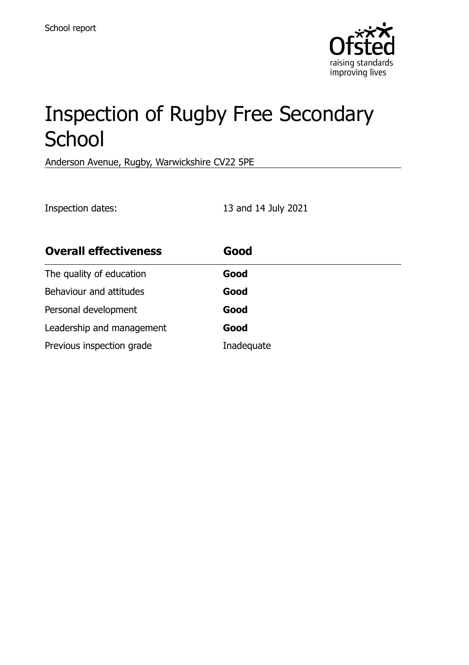

# Inspection of Rugby Free Secondary **School**

Anderson Avenue, Rugby, Warwickshire CV22 5PE

Inspection dates: 13 and 14 July 2021

| <b>Overall effectiveness</b> | Good       |
|------------------------------|------------|
| The quality of education     | Good       |
| Behaviour and attitudes      | Good       |
| Personal development         | Good       |
| Leadership and management    | Good       |
| Previous inspection grade    | Inadequate |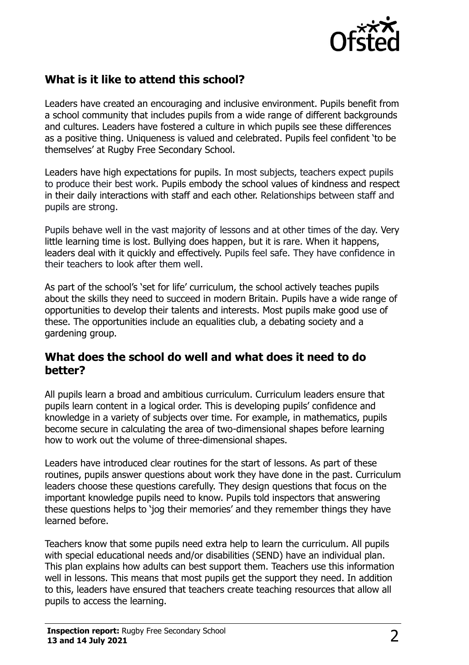

# **What is it like to attend this school?**

Leaders have created an encouraging and inclusive environment. Pupils benefit from a school community that includes pupils from a wide range of different backgrounds and cultures. Leaders have fostered a culture in which pupils see these differences as a positive thing. Uniqueness is valued and celebrated. Pupils feel confident 'to be themselves' at Rugby Free Secondary School.

Leaders have high expectations for pupils. In most subjects, teachers expect pupils to produce their best work. Pupils embody the school values of kindness and respect in their daily interactions with staff and each other. Relationships between staff and pupils are strong.

Pupils behave well in the vast majority of lessons and at other times of the day. Very little learning time is lost. Bullying does happen, but it is rare. When it happens, leaders deal with it quickly and effectively. Pupils feel safe. They have confidence in their teachers to look after them well.

As part of the school's 'set for life' curriculum, the school actively teaches pupils about the skills they need to succeed in modern Britain. Pupils have a wide range of opportunities to develop their talents and interests. Most pupils make good use of these. The opportunities include an equalities club, a debating society and a gardening group.

#### **What does the school do well and what does it need to do better?**

All pupils learn a broad and ambitious curriculum. Curriculum leaders ensure that pupils learn content in a logical order. This is developing pupils' confidence and knowledge in a variety of subjects over time. For example, in mathematics, pupils become secure in calculating the area of two-dimensional shapes before learning how to work out the volume of three-dimensional shapes.

Leaders have introduced clear routines for the start of lessons. As part of these routines, pupils answer questions about work they have done in the past. Curriculum leaders choose these questions carefully. They design questions that focus on the important knowledge pupils need to know. Pupils told inspectors that answering these questions helps to 'jog their memories' and they remember things they have learned before.

Teachers know that some pupils need extra help to learn the curriculum. All pupils with special educational needs and/or disabilities (SEND) have an individual plan. This plan explains how adults can best support them. Teachers use this information well in lessons. This means that most pupils get the support they need. In addition to this, leaders have ensured that teachers create teaching resources that allow all pupils to access the learning.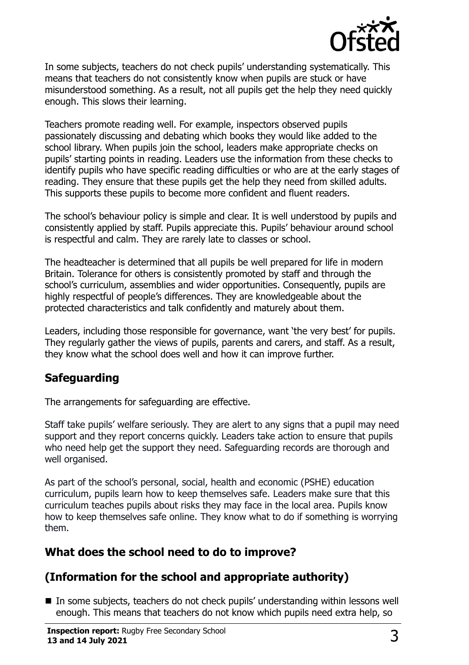

In some subjects, teachers do not check pupils' understanding systematically. This means that teachers do not consistently know when pupils are stuck or have misunderstood something. As a result, not all pupils get the help they need quickly enough. This slows their learning.

Teachers promote reading well. For example, inspectors observed pupils passionately discussing and debating which books they would like added to the school library. When pupils join the school, leaders make appropriate checks on pupils' starting points in reading. Leaders use the information from these checks to identify pupils who have specific reading difficulties or who are at the early stages of reading. They ensure that these pupils get the help they need from skilled adults. This supports these pupils to become more confident and fluent readers.

The school's behaviour policy is simple and clear. It is well understood by pupils and consistently applied by staff. Pupils appreciate this. Pupils' behaviour around school is respectful and calm. They are rarely late to classes or school.

The headteacher is determined that all pupils be well prepared for life in modern Britain. Tolerance for others is consistently promoted by staff and through the school's curriculum, assemblies and wider opportunities. Consequently, pupils are highly respectful of people's differences. They are knowledgeable about the protected characteristics and talk confidently and maturely about them.

Leaders, including those responsible for governance, want 'the very best' for pupils. They regularly gather the views of pupils, parents and carers, and staff. As a result, they know what the school does well and how it can improve further.

# **Safeguarding**

The arrangements for safeguarding are effective.

Staff take pupils' welfare seriously. They are alert to any signs that a pupil may need support and they report concerns quickly. Leaders take action to ensure that pupils who need help get the support they need. Safeguarding records are thorough and well organised.

As part of the school's personal, social, health and economic (PSHE) education curriculum, pupils learn how to keep themselves safe. Leaders make sure that this curriculum teaches pupils about risks they may face in the local area. Pupils know how to keep themselves safe online. They know what to do if something is worrying them.

# **What does the school need to do to improve?**

# **(Information for the school and appropriate authority)**

■ In some subjects, teachers do not check pupils' understanding within lessons well enough. This means that teachers do not know which pupils need extra help, so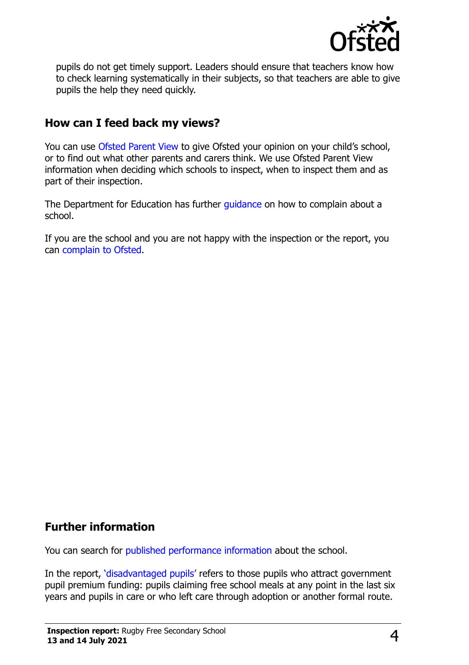

pupils do not get timely support. Leaders should ensure that teachers know how to check learning systematically in their subjects, so that teachers are able to give pupils the help they need quickly.

### **How can I feed back my views?**

You can use [Ofsted Parent View](http://parentview.ofsted.gov.uk/) to give Ofsted your opinion on your child's school, or to find out what other parents and carers think. We use Ofsted Parent View information when deciding which schools to inspect, when to inspect them and as part of their inspection.

The Department for Education has further quidance on how to complain about a school.

If you are the school and you are not happy with the inspection or the report, you can [complain to Ofsted.](http://www.gov.uk/complain-ofsted-report)

### **Further information**

You can search for [published performance information](http://www.compare-school-performance.service.gov.uk/) about the school.

In the report, '[disadvantaged pupils](http://www.gov.uk/guidance/pupil-premium-information-for-schools-and-alternative-provision-settings)' refers to those pupils who attract government pupil premium funding: pupils claiming free school meals at any point in the last six years and pupils in care or who left care through adoption or another formal route.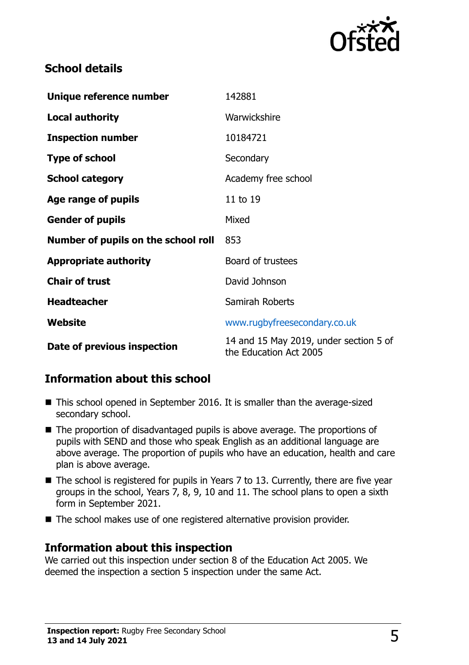

# **School details**

| Unique reference number             | 142881                                                           |  |
|-------------------------------------|------------------------------------------------------------------|--|
| <b>Local authority</b>              | Warwickshire                                                     |  |
| <b>Inspection number</b>            | 10184721                                                         |  |
| <b>Type of school</b>               | Secondary                                                        |  |
| <b>School category</b>              | Academy free school                                              |  |
| Age range of pupils                 | 11 to 19                                                         |  |
| <b>Gender of pupils</b>             | Mixed                                                            |  |
| Number of pupils on the school roll | 853                                                              |  |
| <b>Appropriate authority</b>        | Board of trustees                                                |  |
| <b>Chair of trust</b>               | David Johnson                                                    |  |
| <b>Headteacher</b>                  | Samirah Roberts                                                  |  |
| Website                             | www.rugbyfreesecondary.co.uk                                     |  |
| Date of previous inspection         | 14 and 15 May 2019, under section 5 of<br>the Education Act 2005 |  |

# **Information about this school**

- This school opened in September 2016. It is smaller than the average-sized secondary school.
- The proportion of disadvantaged pupils is above average. The proportions of pupils with SEND and those who speak English as an additional language are above average. The proportion of pupils who have an education, health and care plan is above average.
- The school is registered for pupils in Years 7 to 13. Currently, there are five year groups in the school, Years 7, 8, 9, 10 and 11. The school plans to open a sixth form in September 2021.
- The school makes use of one registered alternative provision provider.

#### **Information about this inspection**

We carried out this inspection under section 8 of the Education Act 2005. We deemed the inspection a section 5 inspection under the same Act.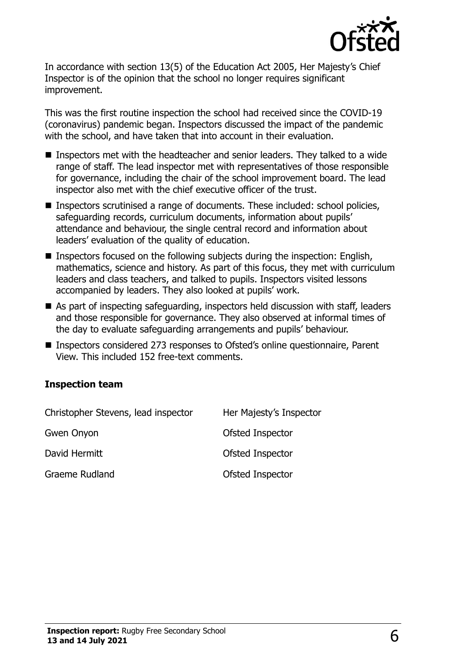

In accordance with section 13(5) of the Education Act 2005, Her Majesty's Chief Inspector is of the opinion that the school no longer requires significant improvement.

This was the first routine inspection the school had received since the COVID-19 (coronavirus) pandemic began. Inspectors discussed the impact of the pandemic with the school, and have taken that into account in their evaluation.

- Inspectors met with the headteacher and senior leaders. They talked to a wide range of staff. The lead inspector met with representatives of those responsible for governance, including the chair of the school improvement board. The lead inspector also met with the chief executive officer of the trust.
- Inspectors scrutinised a range of documents. These included: school policies, safeguarding records, curriculum documents, information about pupils' attendance and behaviour, the single central record and information about leaders' evaluation of the quality of education.
- Inspectors focused on the following subjects during the inspection: English, mathematics, science and history. As part of this focus, they met with curriculum leaders and class teachers, and talked to pupils. Inspectors visited lessons accompanied by leaders. They also looked at pupils' work.
- As part of inspecting safeguarding, inspectors held discussion with staff, leaders and those responsible for governance. They also observed at informal times of the day to evaluate safeguarding arrangements and pupils' behaviour.
- Inspectors considered 273 responses to Ofsted's online questionnaire, Parent View. This included 152 free-text comments.

#### **Inspection team**

| Christopher Stevens, lead inspector | Her Majesty's Inspector |
|-------------------------------------|-------------------------|
| Gwen Onyon                          | Ofsted Inspector        |
| David Hermitt                       | Ofsted Inspector        |
| <b>Graeme Rudland</b>               | Ofsted Inspector        |